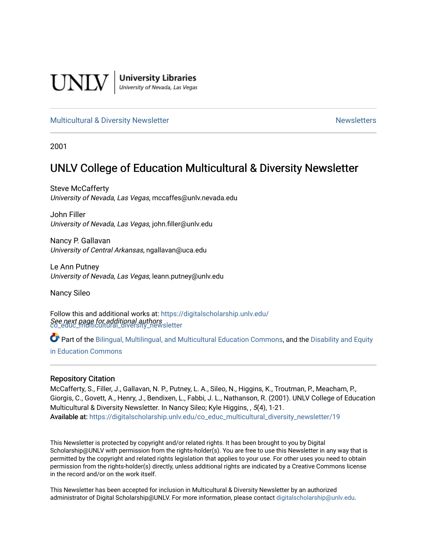

**University Libraries**<br>University of Nevada, Las Vegas

# [Multicultural & Diversity Newsletter](https://digitalscholarship.unlv.edu/co_educ_multicultural_diversity_newsletter) Newsletter [Newsletters](https://digitalscholarship.unlv.edu/co_educ_newsletters) Newsletters

2001

# UNLV College of Education Multicultural & Diversity Newsletter

Steve McCafferty University of Nevada, Las Vegas, mccaffes@unlv.nevada.edu

John Filler University of Nevada, Las Vegas, john.filler@unlv.edu

Nancy P. Gallavan University of Central Arkansas, ngallavan@uca.edu

Le Ann Putney University of Nevada, Las Vegas, leann.putney@unlv.edu

Nancy Sileo

See next page for additional authors [co\\_educ\\_multicultural\\_diversity\\_newsletter](https://digitalscholarship.unlv.edu/co_educ_multicultural_diversity_newsletter?utm_source=digitalscholarship.unlv.edu%2Fco_educ_multicultural_diversity_newsletter%2F19&utm_medium=PDF&utm_campaign=PDFCoverPages)  Follow this and additional works at: [https://digitalscholarship.unlv.edu/](https://digitalscholarship.unlv.edu/co_educ_multicultural_diversity_newsletter?utm_source=digitalscholarship.unlv.edu%2Fco_educ_multicultural_diversity_newsletter%2F19&utm_medium=PDF&utm_campaign=PDFCoverPages)

Part of the [Bilingual, Multilingual, and Multicultural Education Commons,](http://network.bepress.com/hgg/discipline/785?utm_source=digitalscholarship.unlv.edu%2Fco_educ_multicultural_diversity_newsletter%2F19&utm_medium=PDF&utm_campaign=PDFCoverPages) and the Disability and Equity [in Education Commons](http://network.bepress.com/hgg/discipline/1040?utm_source=digitalscholarship.unlv.edu%2Fco_educ_multicultural_diversity_newsletter%2F19&utm_medium=PDF&utm_campaign=PDFCoverPages)

#### Repository Citation

McCafferty, S., Filler, J., Gallavan, N. P., Putney, L. A., Sileo, N., Higgins, K., Troutman, P., Meacham, P., Giorgis, C., Govett, A., Henry, J., Bendixen, L., Fabbi, J. L., Nathanson, R. (2001). UNLV College of Education Multicultural & Diversity Newsletter. In Nancy Sileo; Kyle Higgins, , 5(4), 1-21. Available at: [https://digitalscholarship.unlv.edu/co\\_educ\\_multicultural\\_diversity\\_newsletter/19](https://digitalscholarship.unlv.edu/co_educ_multicultural_diversity_newsletter/19) 

This Newsletter is protected by copyright and/or related rights. It has been brought to you by Digital Scholarship@UNLV with permission from the rights-holder(s). You are free to use this Newsletter in any way that is permitted by the copyright and related rights legislation that applies to your use. For other uses you need to obtain permission from the rights-holder(s) directly, unless additional rights are indicated by a Creative Commons license in the record and/or on the work itself.

This Newsletter has been accepted for inclusion in Multicultural & Diversity Newsletter by an authorized administrator of Digital Scholarship@UNLV. For more information, please contact [digitalscholarship@unlv.edu.](mailto:digitalscholarship@unlv.edu)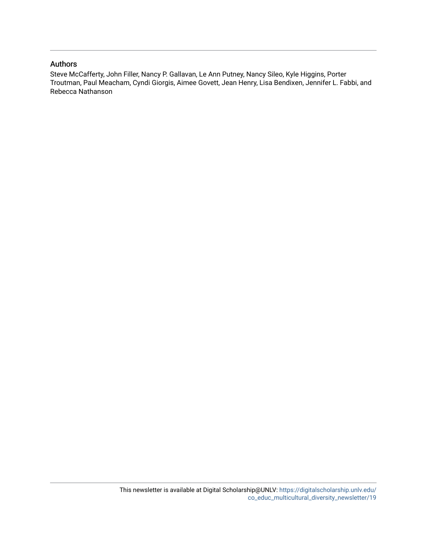## Authors

Steve McCafferty, John Filler, Nancy P. Gallavan, Le Ann Putney, Nancy Sileo, Kyle Higgins, Porter Troutman, Paul Meacham, Cyndi Giorgis, Aimee Govett, Jean Henry, Lisa Bendixen, Jennifer L. Fabbi, and Rebecca Nathanson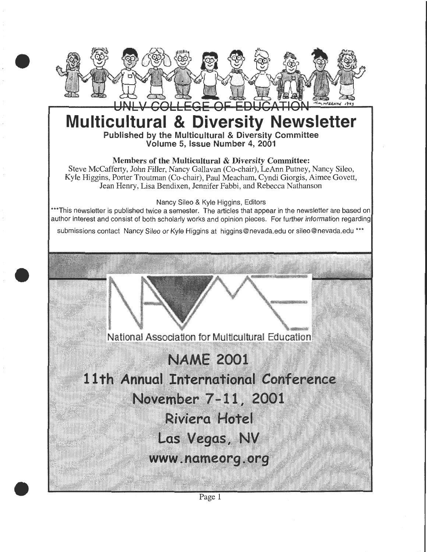

# **Multicultural & Diversity Newsletter**  Published by the Multicultural & Diversity Committee

Volume 5, Issue Number 4, 2001

# Members of the Multicultural & Diversity Committee:

Steve McCafferty, John Filler, Nancy Gallavan (Co-chair), LeAnn Putney, Nancy Sileo, Kyle Higgins, Porter Troutman (Co-chair), Paul Meacham, Cyndi Giorgis, Aimee Govett, Jean Henry, Lisa Bendixen, Jennifer Fabbi, and Rebecca Nathanson

Nancy Sileo & Kyle Higgins, Editors

\*\*\*This newsletter is published twice a semester. The articles that appear in the newsletter are based on author interest and consist of both scholarly works and opinion pieces. For further information regarding

submissions contact Nancy Sileo or Kyle Higgins at higgins@nevada.edu or sileo@nevada.edu \*\*\*

•

•



# **NAME, 2001**

11th Annual International Conference

November 7-11, 2001

**Riviera Hotel** 

**Las Vegas, NV** 

www.nameorg.org

Page 1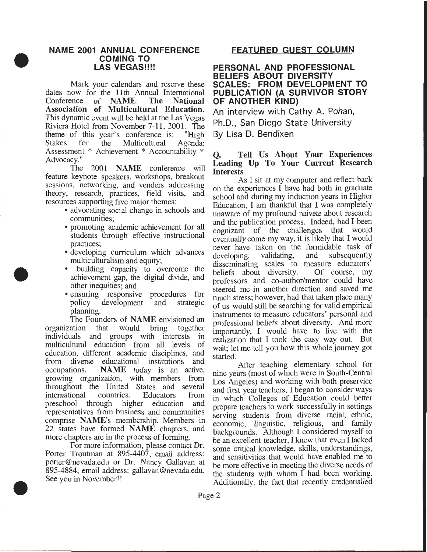#### **NAME 2001 ANNUAL CONFERENCE COMING TO**  LAS **VEGAS!!!!**

• Mark your calendars and reserve these dates now for the 11th Annual International<br>Conference of NAME: The National Conference of NAME: The National Association of Multicultural Education. This dynamic event will be held at the Las Vegas Riviera Hotel from November 7-11, 2001. The theme of this year's conference is: "High<br>Stakes for the Multicultural Agenda: Stakes for the Multicultural Agenda: Assessment \* Achievement \* Accountability \* Advocacy."

> The 2001 NAME conference will feature keynote speakers, workshops, breakout sessions, networking, and venders addressing theory, research, practices, field visits, and resources supporting five major themes:

- advocating social change in schools and communities;
- promoting academic achievement for all students through effective instructional practices;
- developing curriculum which advances multiculturalism and equity;
- building capacity to overcome the achievement gap, the digital divide, and other inequities; and
- ensuring responsive procedures for policy development and strategic planning.

The Founders of NAME envisioned an organization that would bring together individuals and groups with interests in multicultural education from all levels of education, different academic disciplines, and from diverse educational institutions and occupations. NAME today is an active, growing organization, with members from throughout the United States and several international countries. Educators from preschool through higher education and representatives from business and communities comprise NAME's membership. Members in 22 states have formed NAME chapters, and more chapters are in the process of forming.

For more information, please contact Dr. Porter Troutman at 895-4407, email address: porter@nevada.edu or Dr. Nancy Gallavan at 895-4884, email address: gallavan@nevada.edu. See you in November!!

# **FEATURED GUEST COLUMN**

#### **PERSONAL AND PROFESSIONAL BELIEFS ABOUT DIVERSITY SCALES: FROM DEVELOPMENT TO PUBLICATION (A SURVIVOR STORY OF ANOTHER KIND)**

An interview with Cathy A. Pohan, Ph.D., San Diego State University By Lisa D. Bendixen

#### Q. Tell Us About Your Experiences Leading Up To Your Current Research **Interests**

As I sit at my computer and reflect back on the experiences  $\overline{I}$  have had both in graduate school and during my induction years in Higher Education, I am thankful that I was completely unaware of my profound naivete about research and the publication process. Indeed, had I been cognizant of the challenges that would eventually come my way, it is likely that I would never have taken on the formidable task of developing, validating, and subsequently disseminating scales to measure educators'<br>beliefs about diversity. Of course, my beliefs about diversity. professors and co-author/mentor could have steered me in another direction and saved me much stress; however, had that taken place many of us would still be searching for valid empirical instruments to measure educators' personal and professional beliefs about diversity. And more importantly, I would have to live with the realization that I took the easy way out. But wait; let me tell you how this whole journey got started.

After teaching elementary school for nine years (most of which were in South-Central Los Angeles) and working with both preservice and first year teachers, I began to consider ways in which Colleges of Education could better prepare teachers to work successfully in settings. serving students from diverse racial, ethnic, economic, linguistic, religious, and family backgrounds. Although I considered myself to be an excellent teacher, I knew that even I lacked some critical knowledge, skills, understandings, and sensitivities that would have enabled me to be more effective in meeting the diverse needs of the students with whom I had been working. Additionally, the fact that recently credentialled



•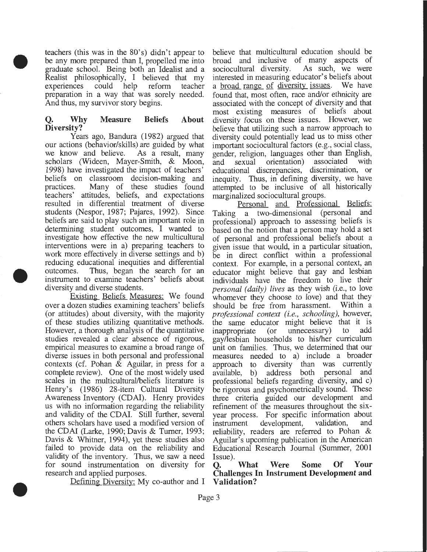teachers (this was in the 80's) didn't appear to be any more prepared than I, propelled me into graduate school. Being both an Idealist and a Realist philosophically, I believed that my experiences could help reform teacher preparation in a way that was sorely needed. And thus, my survivor story begins.

•

•

•

## **Q. Why Measure Beliefs About Diversity?**

Years ago, Bandura (1982) argued that our actions (behavior/skills) are guided by what we know and believe. As a result, many we know and believe. scholars (Wideen, Mayer-Smith, & Moon, 1998) have investigated the impact of teachers' beliefs on classroom decision-making and practices. Many of these studies found teachers' attitudes, beliefs, and expectations resulted in differential treatment of diverse students (Nespor, 1987; Pajares, 1992). Since beliefs are said to play such an important role in determining student outcomes, I wanted to investigate how effective the new multicultural interventions were in a) preparing teachers to work more effectively in diverse settings and b) reducing educational inequities and differential outcomes. Thus, began the search for an instrument to examine teachers' beliefs about diversity and diverse students.

Existing Beliefs Measures: We found over a dozen studies examining teachers' beliefs (or attitudes) about diversity, with the majority of these studies utilizing quantitative methods. However, a thorough analysis of the quantitative studies revealed a clear absence of rigorous, empirical measures to examine a broad range of diverse issues in both personal and professional contexts (cf. Pohan  $&$  Aguilar, in press for a complete review). One of the most widely used scales in the multicultural/beliefs literature is Henry's (1986) 28-item Cultural Diversity Awareness Inventory (CDAI). Henry provides us with no information regarding the reliability and validity of the CDAI. Still further, several others scholars have used a modified version of the CDAI (Larke, 1990; Davis & Turner, 1993; Davis & Whitner, 1994), yet these studies also failed to provide data on the reliability and validity of the inventory. Thus, we saw a need for sound instrumentation on diversity for research and applied purposes.

Defining Diversity: My co-author and I

believe that multicultural education should be broad and inclusive of many aspects of sociocultural diversity. As such, we were sociocultural diversity. interested in measuring educator's beliefs about a <u>broad range</u> of diversity issues. found that, most often, race and/or ethnicity are associated with the concept of diversity and that most existing measures of beliefs about diversity focus on these issues. However, we believe that utilizing such a narrow approach to diversity could potentially lead us to miss other important sociocultural factors (e.g., social class, gender, religion, languages other than English,<br>and sexual orientation) associated with and sexual orientation) associated educational discrepancies, discrimination, or inequity. Thus, in defining diversity, we have attempted to be inclusive of all historically marginalized sociocultural groups.

Personal and Professional Beliefs: Taking a two-dimensional (personal and professional) approach to assessing beliefs is based on the notion that a person may hold a set of personal and professional beliefs about a given issue that would, in a particular situation, be in direct conflict within a professional context. For example, in a personal context, an educator might believe that gay and lesbian individuals have the freedom to live their *personal (daily) lives* as they wish (i.e., to love whomever they choose to love) and that they should be free from harassment. Within a should be free from harassment. *professional context (i.e., schooling),* however, the same educator might believe that it is<br>inappropriate (or unnecessary) to add inappropriate (or unnecessary) to gay/lesbian households to his/her curriculum unit on families. Thus, we determined that our measures needed to a) include a broader approach to diversity than was currently available, b) address both personal and professional beliefs regarding diversity, and c) be rigorous and psychometrically sound. These three criteria guided our development and refinement of the measures throughout the sixyear process. For specific information about<br>instrument development, validation, and instrument development, validation, reliability, readers are referred to Pohan & Aguilar's upcoming publication in the American Educational Research Journal (Summer, 2001 Issue).

**Q. What Were Some Of Your Challenges In Instrument Development and Validation?**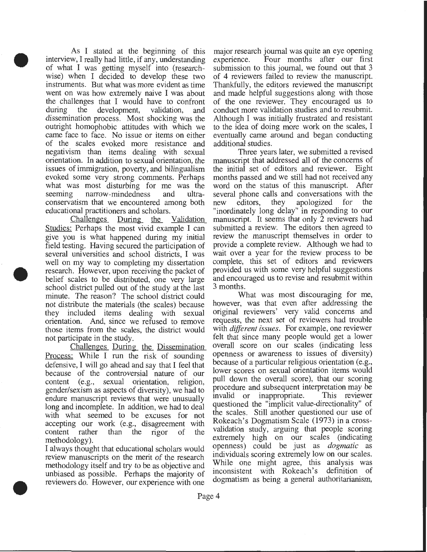• As I stated at the beginning of this interview, I really had little, if any, understanding of what I was getting myself into (researchwise) when I decided to develop these two instruments. But what was more evident as time went on was how extremely naive I was about the challenges that I would have to confront during the development, validation, and dissemination process. Most shocking was the outright homophobic attitudes with which we came face to face. No issue or items on either of the scales evoked more resistance and negativism than items dealing with sexual orientation. In addition to sexual orientation, the issues of immigration, poverty, and bilingualism evoked some very strong comments. Perhaps what was most disturbing for me was the seeming narrow-mindedness and ultraconservatism that we encountered among both educational practitioners and scholars.

• Challenges During the Validation Studies: Perhaps the most vivid example I can give you is what happened during my initial field testing. Having secured the participation of several universities and school districts, I was well on my way to completing my dissertation research. However, upon receiving the packet of belief scales to be distributed, one very large school district pulled out of the study at the last minute. The reason? The school district could not distribute the materials (the scales) because they included items dealing with sexual orientation. And, since we refused to remove those items from the scales, the district would not participate in the study.

> Challenges During the Dissemination Process: While I run the risk of sounding defensive, I will go ahead and say that I feel that because of the controversial nature of our content (e.g., sexual orientation, religion, gender/sexism as aspects of diversity), we had to endure manuscript reviews that were unusually long and incomplete. In addition, we had to deal with what seemed to be excuses for not accepting our work (e.g., disagreement with content rather than the rigor of the methodology).

> I always thought that educational scholars would review manuscripts on the merit of the research methodology itself and try to be as objective and unbiased as possible. Perhaps the majority of reviewers do. However, our experience with one

•

major research journal was quite an eye opening experience. Four months after our first submission to this journal, we found out that 3 of 4 reviewers failed to review the manuscript. Thankfully, the editors reviewed the manuscript and made helpful suggestions along with those of the one reviewer. They encouraged us to conduct more validation studies and to resubmit. Although I was initially frustrated and resistant to the idea of doing more work on the scales, I eventually came around and began conducting additional studies.

Three years later, we submitted a revised manuscript that addressed all of the concerns of the initial set of editors and reviewer. Eight months passed and we still had not received any word on the status of this manuscript. After several phone calls and conversations with the new editors, they apologized for the "inordinately long delay" in responding to our manuscript. It seems that only 2 reviewers had submitted a review. The editors then agreed to review the manuscript themselves in order to provide a complete review. Although we had to wait over a year for the review process to be complete, this set of editors and reviewers provided us with some very helpful suggestions and encouraged us to revise and resubmit within 3 months.

What was most discouraging for me, however, was that even after addressing the original reviewers' very valid concerns and requests, the next set of reviewers had trouble with *different issues.* For example, one reviewer felt that since many people would get a lower overall score on our scales (indicating less openness or awareness to issues of diversity) because of a particular religious orientation (e.g., lower scores on sexual orientation items would pull down the overall score), that our scoring procedure and subsequent interpretation may be invalid or inappropriate. This reviewer questioned the "implicit value-directionality" of the scales. Still another questioned our use of Rokeach's Dogmatism Scale (1973) in a crossvalidation study, arguing that people scoring extremely high on our scales (indicating openness) could be just as *dogmatic* as individuals scoring extremely low on our scales. While one might agree, this analysis was inconsistent with Rokeach's definition of dogmatism as being a general authoritarianism,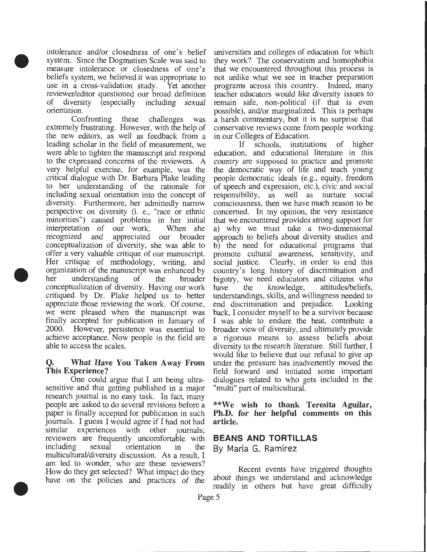intolerance and/or closedness of one's belief system. Since the Dogmatism Scale was said to measure intolerance or closedness of one's beliefs system, we believed it was appropriate to use in a cross-validation study. Yet another reviewer/editor questioned our broad definition of diversity (especially including sexual orientation.

•

•

•

Confronting these challenges was extremely frustrating. However, with the help of the new editors, as well as feedback from a leading scholar in the field of measurement, we were able to tighten the manuscript and respond to the expressed concerns of the reviewers. A very helpful exercise, for example, was the critical dialogue with Dr. Barbara Plake leading to her understanding of the rationale for including sexual orientation into the concept of diversity. Furthermore, her admittedly narrow perspective on diversity (i. e., "race or ethnic minorities") caused problems in her initial interpretation of our work. When she recognized and appreciated our broader conceptualization of diversity, she was able to offer a very valuable critique of our manuscript. Her critique of methodology, writing, and organization of the manuscript was enhanced by her understanding of the broader conceptualization of diversity. Having our work critiqued by Dr. Plake helped us to better appreciate those reviewing the work. Of course, we were pleased when the manuscript was finally accepted for publication in January of 2000. However, persistence was essential to achieve acceptance. Now people in the field are able to access the scales.

### Q. What Have You Taken Away From This Experience?

One could argue that I am being ultrasensitive and that getting published in a major research journal is no easy task. In fact, many people are asked to do several revisions before a paper is finally accepted for publication in such journals. I guess I would agree if I had not had similar experiences with other journals; reviewers are frequently uncomfortable with including sexual orientation in the multicultural/diversity discussion. As a result, I am led to wonder, who are these reviewers? How do they get selected? What impact do they have on the policies and practices of the

universities and colleges of education for which they work? The conservatism and homophobia that we encountered throughout this process is not unlike what we see in teacher preparation programs across this country. Indeed, many teacher educators would like diversity issues to remain safe, non-political (if that is even possible), and/or marginalized. This is perhaps a harsh commentary, but it is no surprise that conservative reviews come from people working in our Colleges of Education.

If schools, institutions of higher education, and educational literature in this country are supposed to practice and promote the democratic way of life and teach young people democratic ideals (e.g., equity, freedom of speech and expression, etc.), civic and social responsibility, as well as nurture social consciousness, then we have much reason to be concerned. In my opinion, the very resistance that we encountered provides strong support for a) why we must take a two-dimensional approach to beliefs about diversity studies and b) the need for educational programs that promote cultural awareness, sensitivity, and social justice. Clearly, in order to end this country's long history of discrimination and bigotry, we need educators and citizens who have the knowledge, attitudes/beliefs, have the knowledge, attitudes/beliefs, understandings, skills, and willingness needed to end discrimination and prejudice. Looking back, I consider myself to be a survivor because I was able to endure the heat, contribute a broader view of diversity, and ultimately provide a rigorous means to assess beliefs about diversity to the research literature. Still further, I would like to believe that our refusal to give up under the pressure has inadvertently moved the field forward and initiated some important dialogues related to who gets included in the "multi" part of multicultural.

\*\*We wish to thank Teresita Aguilar, Ph.D. for her helpful comments on this article.

### **BEANS AND TORTILLAS**

By María G. Ramírez

Recent events have triggered thoughts about things we understand and acknowledge readily in others but have great difficulty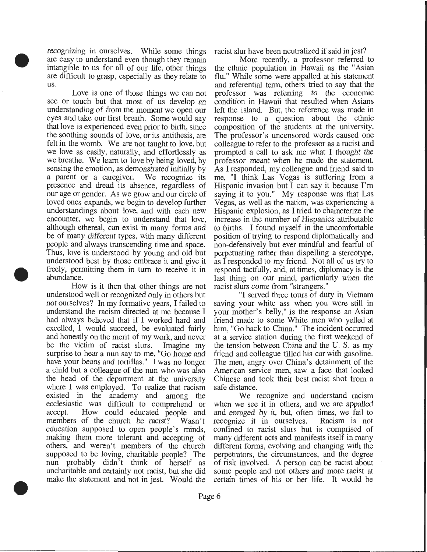recognizing in ourselves. While some things are easy to understand even though they remain intangible to us for all of our life, other things are difficult to grasp, especially as they relate to us.

•

•

•

Love is one of those things we can not see or touch but that most of us develop an understanding of from the moment we open our eyes and take our first breath. Some would say that love is experienced even prior to birth, since the soothing sounds of love, or its antithesis, are felt in the womb. We are not taught to love, but we love as easily, naturally, and effortlessly as we breathe. We learn to love by being loved, by sensing the emotion, as demonstrated initially by a parent or a caregiver. We recognize its presence and dread its absence, regardless of our age or gender. As we grow and our circle of loved ones expands, we begin to develop further understandings about love, and with each new encounter, we begin to understand that love, although ethereal, can exist in many forms and be of many different types, with many different people and always transcending time and space. Thus, love is understood by young and old but understood best by those embrace it and give it freely, permitting them in tum to receive it in abundance.

How is it then that other things are not understood well or recognized only in others but not ourselves? In my formative years, I failed to understand the racism directed at me because I had always believed that if I worked hard and excelled, I would succeed, be evaluated fairly and honestly on the merit of my work, and never be the victim of racist slurs. Imagine my surprise to hear a nun say to me, "Go home and have your beans and tortillas." I was no longer a child but a colleague of the nun who was also the head of the department at the university where I was employed. To realize that racism existed in the academy and among the ecclesiastic was difficult to comprehend or accept. How could educated people and members of the church be racist? Wasn't education supposed to open people's minds, making them more tolerant and accepting of others, and weren't members of the church supposed to be loving, charitable people? The nun probably didn't think of herself as uncharitable and certainly not racist, but she did make the statement and not in jest. Would the

racist slur have been neutralized if said in jest?

More recently, a professor referred to the ethnic population in Hawaii as the "Asian flu." While some were appalled at his statement and referential term, others tried to say that the professor was referring to the economic condition in Hawaii that resulted when Asians left the island. But, the reference was made in response to a question about the ethnic composition of the students at the university. The professor's uncensored words caused one colleague to refer to the professor as a racist and prompted a call to ask me what I thought the professor meant when he made the statement. As I responded, my colleague and friend said to me, "I think Las Vegas is suffering from a Hispanic invasion but I can say it because I'm saying it to you." My response was that Las Vegas, as well as the nation, was experiencing a Hispanic explosion, as I tried to characterize the increase in the number of Hispanics attributable to births. I found myself in the uncomfortable position of trying to respond diplomatically and non-defensively but ever mindful and fearful of perpetuating rather than dispelling a stereotype, as I responded to my friend. Not all of us try to respond tactfully, and, at times, diplomacy is the last thing on our mind, particularly when the racist slurs come from "strangers."

"I served three tours of duty in Vietnam saving your white ass when you were still in your mother's belly," is the response an Asian friend made to some White men who yelled at him, "Go back to China." The incident occurred at a service station during the first weekend of the tension between China and the U. S. as my friend and colleague filled his car with gasoline. The men, angry over China's detainment of the American service men, saw a face that looked Chinese and took their best racist shot from a safe distance.

We recognize and understand racism when we see it in others, and we are appalled and enraged by it, but, often times, we fail to recognize it in ourselves. Racism is not recognize it in ourselves. confined to racist slurs but is comprised of many different acts and manifests itself in many different forms, evolving and changing with the perpetrators, the circumstances, and the degree of risk involved. A person can be racist about some people and not others and more racist at certain times of his or her life. It would be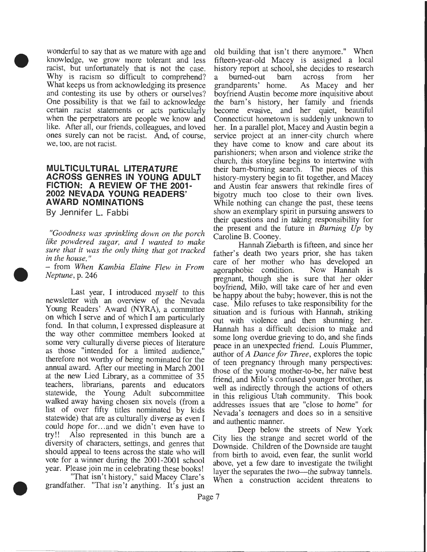wonderful to say that as we mature with age and knowledge, we grow more tolerant and less racist, but unfortunately that is not the case. Why is racism so difficult to comprehend? What keeps us from acknowledging its presence and contesting its use by others or ourselves? One possibility is that we fail to acknowledge certain racist statements or acts particularly when the perpetrators are people we know and like. After all, our friends, colleagues, and loved ones surely can not be racist. And, of course, we, too, are not racist.

# **MULTICULTURAL LITERATURE ACROSS GENRES IN YOUNG ADULT FICTION: A REVIEW OF THE 2001- 2002 NEVADA YOUNG READERS' AWARD NOMINATIONS**

By Jennifer L. Fabbi

•

•

•

*"Goodness was sprinkling down on the porch like powdered sugar, and I wanted to make sure that it was the only thing that got tracked in the house.* "

- from *When Kambia Elaine Flew in From Neptune,* p. 246

Last year, I introduced myself to this newsletter with an overview of the Nevada Young Readers' Award (NYRA), a committee on which I serve and of which I am particularly fond. In that column, I expressed displeasure at the way other committee members looked at some very culturally diverse pieces of literature as those "intended for a limited audience," therefore not worthy of being nominated for the annual award. After our meeting in March 2001 at the new Lied Library, as a committee of 35 teachers, librarians, parents and educators statewide, the Young Adult subcommittee walked away having chosen six novels (from a list of over fifty titles nominated by kids statewide) that are as culturally diverse as even I could hope for...and we didn't even have to try!! Also represented in this bunch are a Also represented in this bunch are a diversity of characters, settings, and genres that should appeal to teens across the state who will vote for a winner during the 2001-2001 school year. Please join me in celebrating these books!

"That isn't history," said Macey Clare's grandfather. "That isn't anything. It's just an old building that isn't there anymore." When fifteen-year-old Macey is assigned a local history report at school, she decides to research<br>a burned-out barn across from her a burned-out barr<br>grandparents' home. As Macey and her boyfriend Austin become more inquisitive about the barn's history, her family and friends become evasive, and her quiet, beautiful Connecticut hometown is suddenly unknown to her. In a parallel plot, Macey and Austin begin a service project at an inner-city church where they have come to know and care about its parishioners; when arson and violence strike the church, this storyline begins to intertwine with their bam-burning search. The pieces of this history-mystery begin to fit together, and Macey and Austin fear answers that rekindle fires of bigotry much too close to their own lives. While nothing can change the past, these teens show an exemplary spirit in pursuing answers to their questions and in taking responsibility for the present and the future in *Burning Up* by Caroline B. Cooney.

Hannah Ziebarth is fifteen, and since her father's death two years prior, she has taken care of her mother who has developed an agoraphobic condition. Now Hannah is agoraphobic condition. pregnant, though she is sure that her older boyfriend, Milo, will take care of her and even be happy about the baby; however, this is not the case. Milo refuses to take responsibility for the situation and is furious with Hannah, striking out with violence and then shunning her. Hannah has a difficult decision to make and some long overdue grieving to do, and she finds peace in an unexpected friend. Louis Plummer, author of *A Dance for Three,* explores the topic of teen pregnancy through many perspectives: those of the young mother-to-be, her naïve best friend, and Milo's confused younger brother, as well as indirectly through the actions of others in this religious Utah community. This book addresses issues that are "close to home" for Nevada's teenagers and does so in a sensitive and authentic manner.

Deep below the streets of New York City lies the strange and secret world of the Downside. Children of the Downside are taught from birth to avoid, even fear, the sunlit world above, yet a few dare to investigate the twilight layer the separates the two-the subway tunnels. When a construction accident threatens to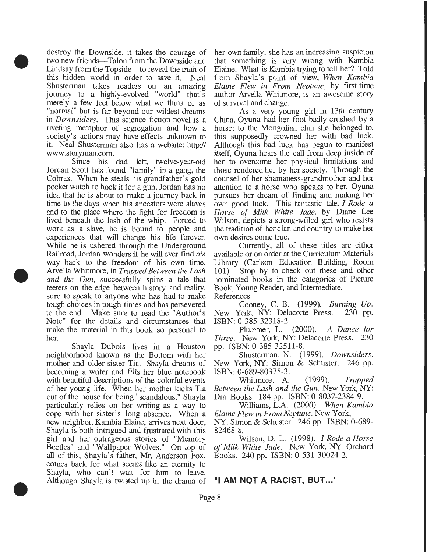destroy the Downside, it takes the courage of two new friends—Talon from the Downside and Lindsay from the Topside-to reveal the truth of this hidden world in order to save it. Neal Shusterman takes readers on an amazing journey to a highly-evolved "world" that's merely a few feet below what we think of as "normal" but is far beyond our wildest dreams in *Downsiders.* This science fiction novel is a riveting metaphor of segregation and how a society's actions may have effects unknown to it. Neal Shusterman also has a website: http:// www .storyman.com.

•

•

•

Since his dad left, twelve-year-old Jordan Scott has found "family" in a gang, the Cobras. When he steals his grandfather's gold pocket watch to hock it for a gun, Jordan has no idea that he is about to make a journey back in time to the days when his ancestors were slaves and to the place where the fight for freedom is lived beneath the lash of the whip. Forced to work as a slave, he is bound to people and experiences that will change his life forever. While he is ushered through the Underground Railroad, Jordan wonders if he will ever find his way back to the freedom of his own time. Arvella Whitmore, in *Trapped Between the Lash and the Gun,* successfully spins a tale that teeters on the edge between history and reality, sure to speak to anyone who has had to make tough choices in tough times and has persevered to the end. Make sure to read the "Author's Note" for the details and circumstances that make the material in this book so personal to her.

Shayla Dubois lives in a Houston neighborhood known as the Bottom with her mother and older sister Tia. Shayla dreams of becoming a writer and fills her blue notebook with beautiful descriptions of the colorful events of her young life. When her mother kicks Tia out of the house for being "scandalous," Shayla particularly relies on her writing as a way to cope with her sister's long absence. When a new neighbor, Kambia Elaine, arrives next door, Shayla is both intrigued and frustrated with this girl and her outrageous stories of "Memory Beetles" and "Wallpaper Wolves." On top of all of this, Shayla's father, Mr. Anderson Fox, comes back for what seems like an eternity to Shayla, who can't wait for him to leave. Although Shayla is twisted up in the drama of

her own family, she has an increasing suspicion that something is very wrong with Kambia Elaine. What is Kambia trying to tell her? Told from Shayla's point of view, *When Kambia Elaine Flew in From Neptune,* by first-time author Arvella Whitmore, is an awesome story of survival and change.

As a very young girl in 13th century China, Oyuna had her foot badly crushed by a horse; to the Mongolian clan she belonged to, this supposedly crowned her with bad luck. Although this bad luck has begun to manifest itself, Oyuna hears the call from deep inside of her to overcome her physical limitations and those rendered her by her society. Through the counsel of her shamaness-grandmother and her attention to a horse who speaks to her, Oyuna pursues her dream of finding and making her own good luck. This fantastic tale, *I Rode a Horse of Milk White Jade,* by Diane Lee Wilson, depicts a strong-willed girl who resists the tradition of her clan and country to make her own desires come true.

Currently, all of these titles are either available or on order at the Curriculum Materials Library (Carlson Education Building, Room 101). Stop by to check out these and other nominated books in the categories of Picture Book, Young Reader, and Intermediate. References

Cooney, C. B. (1999). *Burning Up.*  New York, NY: Delacorte Press. 230 pp. ISBN: 0-385-32318-2.

Plummer, L. (2000). *A Dance for Three.* New York, NY: Delacorte Press. pp. ISBN: 0-385-32511-8.

Shusterman, N. (1999). *Downsiders.*  New York, NY: Simon & Schuster. 246 pp. ISBN: 0-689-80375-3.

Whitmore, A. (1999). *Trapped Between the Lash and the Gun.* New York, NY: Dial Books. 184 pp. ISBN: 0-8037-2384-9.

Williams, L.A. (2000). *When Kambia Elaine Flew in From Neptune.* New York, NY: Simon & Schuster. 246 pp. ISBN: 0-689-

82468-8. Wilson, D. L. (1998). *I Rode a Horse of Milk White Jade.* New York, NY: Orchard Books. 240 pp. ISBN: 0-531-30024-2.

# "I **AM NOT A RACIST, BUT ... "**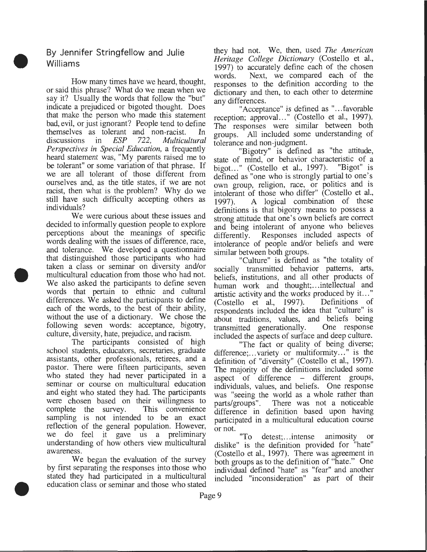By Jennifer Stringfellow and Julie Williams

•

•

•

How many times have we heard, thought, or said this phrase? What do we mean when we say it? Usually the words that follow the "but" indicate a prejudiced or bigoted thought. Does that make the person who made this statement bad, evil, or just ignorant? People tend to define themselves as tolerant and non-racist. In discussions in *ESP* 722, *Multicultural* discussions in *ESP* 722, *Multicultural Perspectives in Special Education,* a frequently heard statement was, "My parents raised me to be tolerant" or some variation of that phrase. If we are all tolerant of those different from ourselves and, as the title states, if we are not racist, then what is the problem? Why do we still have such difficulty accepting others as individuals?

We were curious about these issues and decided to informally question people to explore perceptions about the meanings of specific words dealing with the issues of difference, race, and tolerance. We developed a questionnaire that distinguished those participants who had taken a class or seminar on diversity and/or multicultural education from those who had not. We also asked the participants to define seven words that pertain to ethnic and cultural differences. We asked the participants to define each of the words, to the best of their ability, without the use of a dictionary. We chose the following seven words: acceptance, bigotry, culture, diversity, hate, prejudice, and racism.

The participants consisted of high school students, educators, secretaries, graduate assistants, other professionals, retirees, and a pastor. There were fifteen participants, seven who stated they had never participated in a seminar or course on multicultural education and eight who stated they had. The participants were chosen based on their willingness to complete the survey. This convenience sampling is not intended to be an exact reflection of the general population. However, we do feel it gave us a preliminary understanding of how others view multicultural awareness.

We began the evaluation of the survey by first separating the responses into those who stated they had participated in a multicultural education class or seminar and those who stated

they had not. We, then, used *The American Heritage College Dictionary* (Costello et al., 1997) to accurately define each of the chosen words. Next, we compared each of the responses to the definition according to the dictionary and then, to each other to determine any differences.

"Acceptance" is defined as "...favorable reception; approval..." (Costello et al., 1997). The responses were similar between. both groups. All included some understandmg of tolerance and non-judgment.

"Bigotry" is defined as "the attitude, state of mind, or behavior characteristic of a<br>higot..." (Costello et al., 1997). "Bigot" is bigot..." (Costello et al., 1997). defined as "one who is strongly partial to one's own group, religion, race, or politics and is intolerant of those who differ" (Costello et al., 1997). A logical combination of these definitions is that bigotry means to possess a strong attitude that one's own beliefs are correct and being intolerant of anyone who believes differently. Responses included aspects of intolerance of people and/or beliefs and were similar between both groups.

"Culture" is defined as "the totality of socially transmitted behavior patterns, arts, beliefs, institutions, and all other products of human work and thought;...intellectual and artistic activity and the works produced by it..."<br>(Costello et al., 1997). Definitions of  $(Costello et al., 1997).$ respondents included the idea that "culture" is about traditions, values, and beliefs being<br>transmitted generationally. One response transmitted generationally. included the aspects of surface and deep culture.

"The fact or quality of being diverse; difference; ... variety or multiformity ... " is the definition of "diversity" (Costello et al., 1997). The majority of the definitions included some aspect of difference - different groups, individuals, values, and beliefs. One response was "seeing the world as a whole rather than parts/groups". There was not a noticeable difference in definition based upon having participated in a multicultural education course or not.

"To detest; .. .intense animosity or dislike" is the definition provided for "hate" (Costello et al., 1997). There was agreement in both groups as to the definition of "hate." One individual defined "hate" as "fear" and another included "inconsideration" as part of their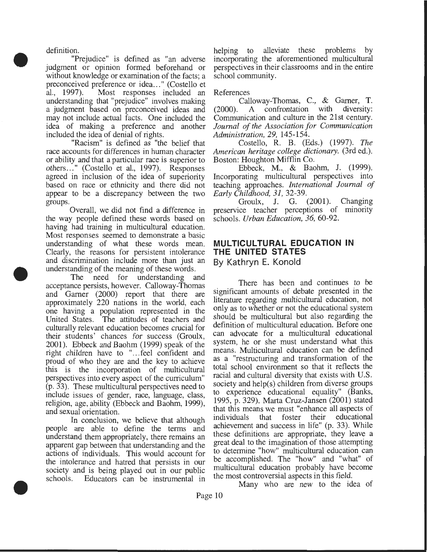definition.

•

•

•

"Prejudice" is defined as "an adverse judgment or opinion formed beforehand or without knowledge or examination of the facts; a preconceived preference or idea..." (Costello et al., 1997). Most responses included an Most responses included an understanding that "prejudice" involves making a judgment based on preconceived ideas and may not include actual facts. One included the idea of making a preference and another included the idea of denial of rights.

"Racism" is defined as "the belief that race accounts for differences in human character or ability and that a particular race is superior to others ... " (Costello et al., 1997). Responses agreed in inclusion of the idea of superiority based on race or ethnicity and there did not appear to be a discrepancy between the two groups.

Overall, we did not find a difference in the way people defined these words based on having had training in multicultural education. Most responses seemed to demonstrate a basic understanding of what these words mean. Clearly, the reasons for persistent intolerance and discrimination include more than just an understanding of the meaning of these words .

The need for understanding and acceptance persists, however. Calloway-Thomas and Gamer (2000) report that there are approximately 220 nations in the world, each one having a population represented in the United States. The attitudes of teachers and culturally relevant education becomes crucial for their students' chances for success (Groulx, 2001). Ebbeck and Baohm (1999) speak of the right children have to "... feel confident and proud of who they are and the key to achieve this is the incorporation of multicultural perspectives into every aspect of the curriculum" (p. 33). These multicultural perspectives need to include issues of gender, race, language, class, religion, age, ability (Ebbeck and Baohm, 1999), and sexual orientation.

In conclusion, we believe that although people are able to define the terms and understand them appropriately, there remains an apparent gap between that understanding and the actions of individuals. This would account for the intolerance and hatred that persists in our society and is being played out in our public schools. Educators can be instrumental in

helping to alleviate these problems by incorporating the aforementioned multicultural perspectives in their classrooms and in the entire school community.

References

Calloway-Thomas, C., & Gamer, **T.**  (2000). A confrontation with diversity: Communication and culture in the 21st century. *Journal of the Association for Communication Administration, 29,* 145-154.

Costello, R. **B.** (Eds.) (1997). *The American heritage college dictionary.* (3rd ed.). Boston: Houghton Mifflin Co.

Ebbeck, M., & Baohm, J. (1999). Incorporating multicultural perspectives into teaching approaches. *International Journal of Early Childhood, 31,* 32-39.

Groulx, **J.** G. (2001). Changing preservice teacher perceptions of minority schools. *Urban Education, 36,* 60-92.

# **MULTICULTURAL EDUCATION IN THE UNITED STATES By Kathryn E. Konold**

There has been and continues to be significant amounts of debate presented in the literature regarding multicultural education, not only as to whether or not the educational system should be multicultural but also regarding the definition of multicultural education. Before one can advocate for a multicultural educational system, he or she must understand what this means. Multicultural education can be defined as a "restructuring and transformation of the total school environment so that it reflects the racial and cultural diversity that exists with U.S. society and help(s) children from diverse groups to experience educational equality" (Banks, 1995, p. 329). Marta Cruz-Jansen (2001) stated that this means we must "enhance all aspects of individuals that foster their educational individuals that foster their achievement and success in life" (p. 33). While these definitions are appropriate, they leave a great deal to the imagination of those attempting to determine "how" multicultural education can be accomplished. The "how" and "what" of multicultural education probably have become

the most controversial aspects in this field. Many who are new to the idea of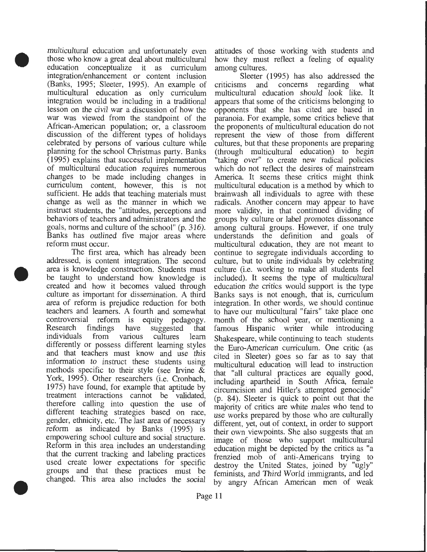multicultural education and unfortunately even attitudes of those working with students and those who know a great deal about multicultural how they must reflect a feeling of equality those who know a great deal about multicultural education conceptualize it as curriculum among cultures. integration/enhancement or content inclusion Sleeter (1995) has also addressed the (Banks, 1995; Sleeter, 1995). An example of criticisms and concerns regarding what (Banks, 1995; Sleeter, 1995). An example of criticisms and concerns regarding what multicultural education as only curriculum multicultural education should look like. It multicultural education as only curriculum multicultural education should look like. It integration would be including in a traditional appears that some of the criticisms belonging to integration would be including in a traditional lesson on the civil war a discussion of how the opponents that she has cited are based in war was viewed from the standpoint of the paranoia. For example, some critics believe that African-American population; or, a classroom the proponents of multicultural education do not African-American population; or, a classroom the proponents of multicultural education do not discussion of the different types of holidays represent the view of those from different discussion of the different types of holidays celebrated by persons of various culture while celebrated by persons of various culture while cultures, but that these proponents are preparing (1995) explains that successful implementation "taking over" to create new radical policies of multicultural education requires numerous which do not reflect the desires of mainstream changes to be made including changes in America. It seems these critics might think changes to be made including changes in America. It seems these critics might think curriculum content, however, this is not sufficient. He adds that teaching materials must brainwash all individuals to agree with these change as well as the manner in which we radicals. Another concern may appear to have instruct students, the "attitudes, perceptions and more validity, in that continued dividing of behaviors of teachers and administrators and the groups by culture or label promotes dissonance goals, norms and culture of the school" (p. 316). among cultural groups. However, if one truly Banks has outlined five major areas where reform must occur.

addressed, is content integration. The second culture, but to unite individuals by celebrating area is knowledge construction. Students must culture (i.e. working to make all students feel area is knowledge construction. Students must be taught to understand how knowledge is included). It seems the type of multicultural created and how it becomes valued through education the critics would support is the type culture as important for dissemination. A third Banks says is not enough, that is, curriculum area of reform is prejudice reduction for both integration. In other words, we should continue area of reform is prejudice reduction for both integration. In other words, we should continue teachers and learners. A fourth and somewhat to have our multicultural "fairs" take place one teachers and learners. A fourth and somewhat to have our multicultural "fairs" take place one controversial reform is equity pedagogy. month of the school year, or mentioning a controversial reform is equity pedagogy. Research findings have suggested that famous Hispanic writer while introducing individuals from various cultures learn Shakespeare, while continuing to teach students<br>differently or possess different learning styles the Euro-American curriculum One critic (as differently or possess different learning styles the Euro-American curriculum. One critic (as and that teachers must know and use this cited in Sleeter) goes so far as to say that and that teachers must know and use this cited in Sleeter) goes so far as to say that information to instruct these students using multicultural education will lead to instruction information to instruct these students using multicultural education will lead to instruction methods specific to their style (see Irvine  $\&$  that "all cultural practices are equally good methods specific to their style (see Irvine  $\alpha$  that "all cultural practices are equally good, York, 1995). Other researchers (i.e. Cronbach, including apartheid in South Africa female York, 1995). Other researchers (i.e. Cronbach, including apartheid in South Africa, female<br>1975) have found, for example that aptitude by circumcision and Hitler's attempted genocide"  $1973$  have found, for example that aptitude by circumcision and Hitler's attempted genocide"<br>treatment interactions cannot be validated,  $(n, 84)$ . Sleeter is quick to point out that the therefore calling into question the use of different teaching strategies based on race, different teaching strategies based on race, use works prepared by those who are culturally gender, ethnicity, etc. The last area of necessary different yet out of context in order to support gender, ethnicity, etc. The last area of necessary different, yet, out of context, in order to support reform as indicated by Banks (1995) is their own viewpoints. She also supports that an reform as indicated by Banks (1995) is their own viewpoints. She also suggests that an<br>empowering school culture and social structure.  $\frac{1}{2}$  image of those who support multicultural empowering school culture and social structure. image of those who support multicultural<br>Reform in this area includes an understanding education might be depicted by the critics as "a Reform in this area includes an understanding education might be depicted by the critics as "a that the current tracking and labeling practices frequency mobilistic and the current tracking and labeling practices that the current tracking and labeling practices frenzied mob of anti-Americans trying to used create lower expectations for specific destroy the United States joined by "ugly" used create lower expectations for specific destroy the United States, joined by "ugly"<br>groups and that these practices must be feminists and Third World immigrants, and led

(through multicultural education) to begin among cultural groups. However, if one truly understands the definition and goals of must occur.<br>The first area, which has already been continue to segregate individuals according to continue to segregate individuals according to culture, but to unite individuals by celebrating  $(p. 84)$ . Sleeter is quick to point out that the majority of critics are white males who tend to groups and that these practices must be feminists, and Third World immigrants, and led<br>changed. This area also includes the social by appry African American men of weak by angry African American men of weak

•

•

•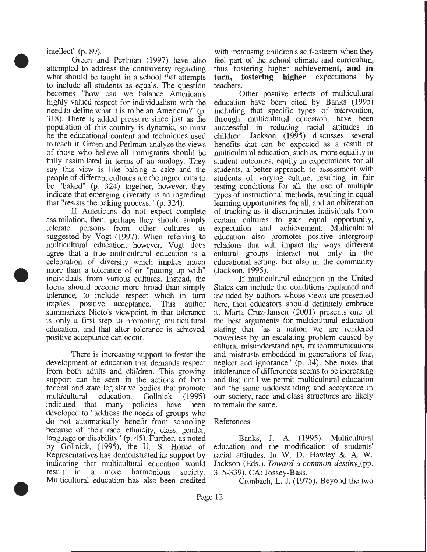intellect" (p. 89).

•

•

•

Green and Perlman (1997) have also attempted to address the controversy regarding what should be taught in a school that attempts to include all students as equals. The question becomes "how can we balance American's highly valued respect for individualism with the need to define what it is to be an American?" (p. 318). There is added pressure since just as the population of this country is dynamic, so must be the educational content and techniques used to teach it. Green and Perlman analyze the views of those who believe all immigrants should be fully assimilated in terms of an analogy. They say this view is like baking a cake and the people of different cultures are the ingredients to be "baked" (p. 324) together, however, they indicate that emerging diversity is an ingredient that "resists the baking process." (p. 324).

If Americans do not expect complete assimilation, then, perhaps they should simply tolerate persons from other cultures as suggested by Vogt (1997). When referring to multicultural education, however, Vogt does agree that a true multicultural education is a celebration of diversity which implies much more than a tolerance of or "putting up with" individuals from various cultures. Instead, the focus should become more broad than simply tolerance, to include respect which in turn implies positive acceptance. This author summarizes Nieto's viewpoint, in that tolerance is only a first step to promoting multicultural education, and that after tolerance is achieved, positive acceptance can occur.

There is increasing support to foster the development of education that demands respect from both adults and children. This growing support can be seen in the actions of both federal and state legislative bodies that promote<br>multicultural education. Gollnick (1995) multicultural education. Gollnick (1995) indicated that many policies have been developed to "address the needs of groups who do not automatically benefit from schoolihg because of their race, ethnicity, class, gender, language or disability"  $(p. 45)$ . Further, as noted by Gollnick, (1995), the U. S. House of Representatives has demonstrated its support by indicating that multicultural education would result in a more harmonious society. Multicultural education has also been credited

with increasing children's self-esteem when they feel part of the school climate and curriculum, thus fostering higher **achievement, and in turn, fostering higher** expectations by teachers.

Other positive effects of multicultural education have been cited by Banks (1995) including that specific types of intervention, through multicultural education, have been successful in reducing racial attitudes in children. Jackson (1995) discusses several benefits that can be expected as a result of multicultural education, such as, more equality in student outcomes, equity in expectations for all students, a better approach to assessment with students of varying culture, resulting in fair testing conditions for all, the use of multiple types of instructional methods, resulting in equal learning opportunities for all, and an obliteration of tracking as it discriminates individuals from certain cultures to gain equal opportunity, expectation and achievement. Multicultural education also promotes positive intergroup relations that will impact the ways different cultural groups interact not only in the educational setting, but also in the community (Jackson, 1995).

If multicultural education in the United States can include the conditions explained and included by authors whose views are presented here, then educators should definitely embrace it. Marta Cruz-Jansen (2001) presents one of the best arguments for multicultural education stating that "as a nation we are rendered powerless by an escalating problem caused by cultural misunderstandings, miscommunications and mistrusts embedded in generations of fear, neglect and ignorance" (p. 34). She notes that intolerance of differences seems to be increasing and that until we permit multicultural education and the same understanding and acceptance in our society, race and class structures are likely to remain the same.

### References

Banks, J. A. (1995). Multicultural education and the modification of students' racial attitudes. In W. D. Hawley  $\&$  A. W. Jackson (Eds.), *Toward a common destiny\_(pp.*  315-339). CA: Jossey-Bass.

Cronbach, L. J. (1975). Beyond the two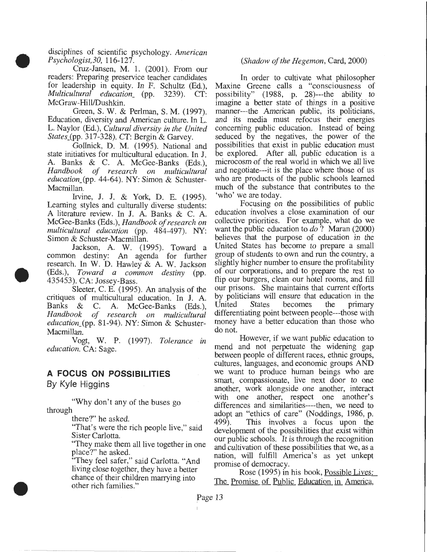disciplines of scientific psychology. *American*<br>*Psychologist,30,* 116-127.

•

•

•

Cruz-Jansen, M. 1.  $(2001)$ . From our readers: Preparing preservice teacher candidates for leadership in equity. In F. Schultz (Ed.), *Multicultural education\_* (pp. 3239). CT: McGraw-Hill/Dushkin.

Green, S. W. & Perlman, S.M. (1997). Education, diversity and American culture. In L. L. Naylor (Ed.), *Cultural diversity in the United States\_(pp. 317-328). CT: Bergin & Garvey.* 

Gollnick, D. M. (1995). National and state initiatives for multicultural education. In J. A. Banks & C. A. McGee-Banks (Eds.), Handbook of research on multicultural *education\_(pp.* 44-64). NY: Simon & Schuster-Macmillan.

Irvine, J. J. & York, D. E. (1995). Learning styles and culturally diverse students: A literature review. In J. A. Banks  $&$  C. A. McGee-Banks (Eds.), *Handbook of research on multicultural education* (pp. 484-497). NY: Simon & Schuster-Macmillan.

Jackson, A. W. (1995). Toward a common destiny: An agenda for further research. In W. D. Hawley & A. W. Jackson (Eds.), *Toward a common destiny* (pp. 435453). CA: Jossey-Bass. I

Sleeter, C. E.  $(1995)$ . An analysis of the critiques of multicultural education. In J. A. Banks & C. A. McGee-Banks (Eds.),<br>Handbook of research on multicultural *Handbook of research on multicultufal education\_(pp.* 81-94). NY: Simon & Schuster-Macmillan.

Vogt, W. P. (1997). *Tolerance in education.* CA: Sage.

# **A FOCUS ON POSSIBILITIES**

By Kyle Higgins

"Why don't any of the buses go through

there?" he asked.

"That's were the rich people live," said Sister Carlotta.

"They make them all live together in one place?" he asked.

"They feel safer," said Carlotta. "And living close together, they have a better chance of their children marrying into other rich families."

#### *(Shadow of the Hegemon,* Card, 2000)

In order to cultivate what philosopher Maxine Greene calls a "consciousness of possibility" (1988, p. 28)---the ability to imagine a better state of things in a positive manner---the American public, its politicians, and its media must refocus their energies concerning public education. Instead of being seduced by the negatives, the power of the possibilities that exist in public education must be explored. After all, public education is a microcosm of the real world in which we all live and negotiate---it is the place where those of us who are products of the public schools learned much of the substance that contributes to the 'who' we are today.

Focusing on the possibilities of public education involves a close examination of our collective priorities. For example, what do we want the public education to *do* ? Maran (2000) believes that the purpose of education in the United States has become to prepare a small group of students to own and run the country, a slightly higher number to ensure the profitability of our corporations, and to prepare the rest to flip our burgers, clean our hotel rooms, and fill our prisons. She maintains that current efforts by politicians will ensure that education in the United States becomes the primary differentiating point between people---those with money have a better education than those who do not.

However, if we want public education to mend and not perpetuate the widening gap between people of different races, ethnic groups, cultures, languages, and economic groups AND we want to produce human beings who are smart, compassionate, live next door to one another, work alongside one another, interact with one another, respect one another's differences and similarities----then, we need to adopt an "ethics of care" (Noddings, 1986, p.<br>499). This involves a focus upon the This involves a focus upon the development of the possibilities that exist within our public schools. It is through the recognition and cultivation of these possibilities that we, as a nation, will fulfill America's as yet unkept promise of democracy.

Rose (1995) in his book, Possible Lives: The Promise of Public Education in America,

Page 13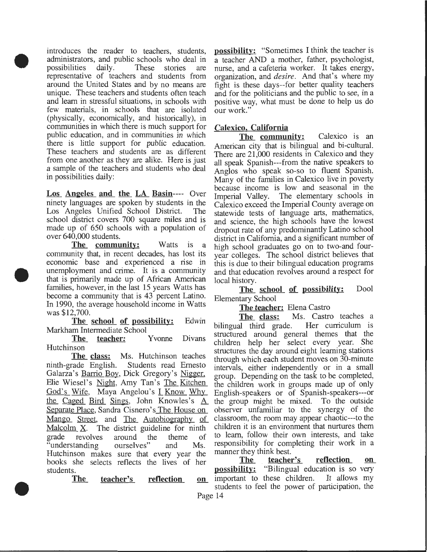introduces the reader to teachers, students, administrators, and public schools who deal in possibilities daily. These stories are representative of teachers and students from around the United States and by no means are unique. These teachers and students often teach and learn in stressful situations, in schools with few materials, in schools that are isolated (physically, economically, and historically), in communities in which there is much support for public education, and in communities in which there is little support for public education. These teachers and students are as different from one another as they are alike. Here is just a sample of the teachers and students who deal in possibilities daily:

•

•

•

Los Angeles and the LA Basin---- Over ninety languages are spoken by students in the Los Angeles Unified School District. The school district covers 700 square miles and is made up of 650 schools with a population of over 640,000 students.

The community: Watts is a community that, in recent decades, has lost its economic base and experienced a rise in unemployment and crime. It is a community that is primarily made up of African American families, however, in the last 15 years Watts has become a community that is 43 percent Latino. In 1990, the average household income in Watts was \$12,700.

The school of possibility: Edwin Markham Intermediate School

Hutchinson

The class: Ms. Hutchinson teaches ninth-grade English. Students read Emesto Galarza's <u>Barrio Boy</u>, Dick Gregory's <u>Nigger</u>, Elie Wiesel's <u>Night</u>, Amy Tan's The Kitchen God's Wife, Maya Angelou's I Know Why the Caged Bird Sings, John Knowles's  $\underline{A}$ Separate Place, Sandra Cisnero's The House on Mango Street, and The Autobiography of Malcolm  $X$ . The district guideline for ninth grade revolves around the theme of<br>"understanding ourselves" and Ms. "understanding ourselves" and Ms. Hutchinson makes sure that every year the books she selects reflects the lives of her students.

The teacher's reflection

possibility: "Sometimes I think the teacher is a teacher AND a mother, father, psychologist, nurse, and a cafeteria worker. It takes energy, organization, and *desire.* And that's where my fight is these days--for better quality teachers and for the politicians and the public to see, in a positive way, what must be done to help us do our work."

# Calexico, California

The community: Calexico is an American city that is bilingual and bi-cultural. There are 21,000 residents in Calexico and they all speak Spanish---from the native speakers to Anglos who speak so-so to fluent Spanish. Many of the families in Calexico live in poverty because income is low and seasonal in the Imperial Valley. The elementary schools in The elementary schools in Calexico exceed the Imperial County average on statewide tests of language arts, mathematics, and science, the high schools have the lowest dropout rate of any predominantly Latino school district in California, and a significant number of high school graduates go on to two-and fouryear colleges. The school district believes that this is due to their bilingual education programs and that education revolves around a respect for local history.

The school of possibility: Dool Elementary School

The teacher: Elena Castro

The class: Ms. Castro teaches a<br>al third grade. Her curriculum is bilingual third grade. structured around general themes that the The teacher: Yvonne Divans structured around general and the teacher: Yvonne Divans children help her select every year. She structures the day around eight learning stations through which each student moves on 30-minute intervals, either independently or in a small group. Depending on the task to be completed, the children work in groups made up of only English-speakers or of Spanish-speakers---or the group might be mixed. To the outside observer unfamiliar to the synergy of the classroom, the room may appear chaotic---to the children it is an environment that nurtures them to learn, follow their own interests, and take responsibility for completing their work in a manner they think best.<br>The teacher

teacher's reflection on **possibility:** "Bilingual education is so very on important to these children. It allows my students to feel the power of participation, the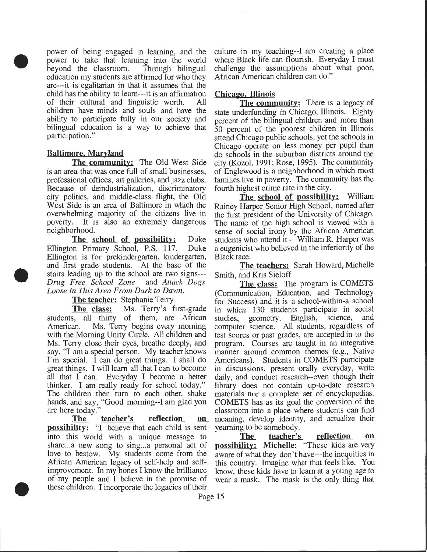power of being engaged in learning, and the power to take that learning into the world<br>beyond the classroom. Through bilingual beyond the classroom. education my students are affirmed for who they are---it is egalitarian in that it assumes that the child has the ability to learn---it is an affirmation of their cultural and linguistic worth. All children have minds and souls and have the ability to participate fully in our society and bilingual education is a way to achieve that participation."

### Baltimore, Maryland

•

•

•

The community: The Old West Side is an area that was once full of small businesses, professional offices, art galleries, and jazz clubs. Because of deindustrialization, discriminatory city politics, and middle-class flight, the Old West Side is an area of Baltimore in which the overwhelming majority of the citizens live in poverty. It is also an extremely dangerous neighborhood.

The school of possibility: Duke Ellington Primary School, P.S. 117. Duke Ellington is for prekindergarten, kindergarten, and first grade students. At the base of the stairs leading up to the school are two signs--- *Drug Free School Zone* and *Attack Dogs Loose In This Area From Dark to Dawn.* 

#### The teacher: Stephanie Terry

The class: Ms. Terry's first-grade students, all thirty of them, are African American. Ms. Terry begins every morning with the Morning Unity Circle. All children and Ms. Terry close their eyes, breathe deeply, and say, "I am a special person. My teacher knows I'm special. I can do great things. I shall do great things. I will learn all that I can to become all that I can. Everyday I become a better thinker. I am really ready for school today." The children then tum to each other, shake hands, and say, "Good morning--I am glad you are here today."

The teacher's reflection on possibility: "I believe that each child is sent into this world with a unique message to share...a new song to sing...a personal act of love to bestow. My students come from the African American legacy of self-help and selfimprovement. In my bones I know the brilliance of my people and I believe in the promise of these children. I incorporate the legacies of their

culture in my teaching--I am creating a place where Black life can flourish. Everyday I must challenge the assumptions about what poor, African American children can do."

### Chicago, Illinois

The community: There is a legacy of state underfunding in Chicago, Illinois. Eighty percent of the bilingual children and more than 50 percent of the poorest children in Illinois attend Chicago public schools, yet the schools in Chicago operate on less money per pupil than do schools in the suburban districts around the city (Kozol, 1991; Rose, 1995). The community of Englewood is a neighborhood in which most families live in poverty. The community has the fourth highest crime rate in the city.

The school of possibility: William Rainey Harper Senior High School, named after the first president of the University of Chicago. The name of the high school is viewed with a sense of social irony by the African American students who attend it ---William R. Harper was a eugenicist who believed in the inferiority of the Black race.

The teachers: Sarah Howard, Michelle Smith, and Kris Sieloff

The class: The program is COMETS (Communication, Education, and Technology for Success) and it is a school-within-a school in which 130 students participate in social studies, geometry, English, science, and computer science. All students, regardless of test scores or past grades, are accepted in to the program. Courses are taught in an integrative manner around common themes (e.g., Native Americans). Students in COMETS participate in discussions, present orally everyday, write daily, and conduct research--even though their library does not contain up-to-date research materials nor a complete set of encyclopedias. COMETS has as its goal the conversion of the classroom into a place where students can find meaning, develop identity, and actualize their yearning to be somebody.

The teacher's reflection on possibility: Michelle: "These kids are very aware of what they don't have---the inequities in this country. Imagine what that feels like. You know, these kids have to learn at a young age to wear a mask. The mask is the only thing that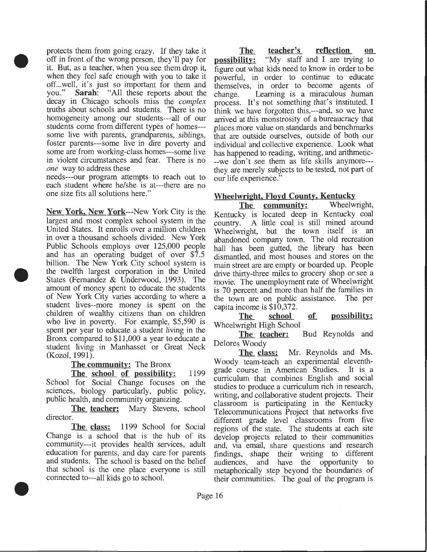protects them from going crazy. If they take it off in front of the wrong person, they'll pay for it. But, as a teacher, when you see them drop it, when they feel safe enough with you to take it off...well, it's just so important for them and you." **Sarah**: "All these reports about the Sarah: "All these reports about the decay in Chicago schools miss the *complex*  truths about schools and students. There is no homogeneity among our students---all of our students come from different types of homes-- some live with parents, grandparents, siblings, foster parents---some live in dire poverty and some are from working-class homes---some live in violent circumstances and fear. There is no *one* way to address these

•

•

•

needs---our program attempts to reach out to each student where he/she is at---there are no one size fits all solutions here."

New York, New York---New York City is the largest and most complex school system in the United States. It enrolls over a million children in over a thousand schools divided. New York Public Schools employs over 125,000 people and has an operating budget of over \$7.5 billion. The New York City school system is the twelfth largest corporation in the United States (Fernandez & Underwood, 1993). The amount of money spent to educate the students of New York City varies according to where a student lives--more money is spent on the children of wealthy citizens than on children who live in poverty. For example, \$5,590 is spent per year to educate a student living in the Bronx compared to \$11,000 a year to educate a student living in Manhasset or Great Neck (Kozel, 1991).

The community: The Bronx

The school of possibility: 1199 School for Social Change focuses on the sciences, biology particularly, public policy, public health, and community organizing.

The teacher: Mary Stevens, school director.

The class: 1199 School for Social Change is a school that is the hub of its community---it provides health services, adult education for parents, and day care for parents and students. The school is based on the belief that school is the one place everyone is still connected to---all kids go to school.

The teacher's reflection on **possibility:** "My staff and I are trying to figure out what kids need to know in order to be powerful, in order to continue to educate themselves, in order to become agents of change. Learning is a miraculous human process. It's not something that's instituted. I think we have forgotten this,---and, so we have arrived at this monstrosity of a bureaucracy that places more value on standards and benchmarks that are outside ourselves, outside of both our individual and collective experience. Look what has happened to reading, writing, and arithmetic- --we don't see them as life skills anymore-- they are merely subjects to be tested, not part of our life experience."

# Wheelwright, Floyd County, Kentucky

The community: Wheelwright, Kentucky is located deep in Kentucky coal country. A little coal is still mined around Wheelwright, but the town itself is an abandoned company town. The old recreation hall has been gutted, the library has been dismantled, and most houses and stores on the main street are are empty or boarded up. People drive thirty-three miles to grocery shop or see a movie. The unemployment rate of Wheelwright is 70 percent and more than half the families in the town are on public assistance. The per capita income is \$10,372.

The school of possibility: Wheelwright High School

The teacher: Bud Reynolds and Delores Woody

The class: Mr. Reynolds and Ms. Woody team-teach an experimental eleventhgrade course in American Studies. It is a curriculum that combines English and social studies to produce a curriculum rich in research, writing, and collaborative student projects. Their classroom is participating in the Kentucky Telecommunications Project that networks five different grade level classrooms from five regions of the state. The students at each site develop projects related to their communities and, via email, share questions and research findings, shape their writing to different audiences, and have the opportunity to metaphorically step beyond the boundaries of their communities. The goal of the program is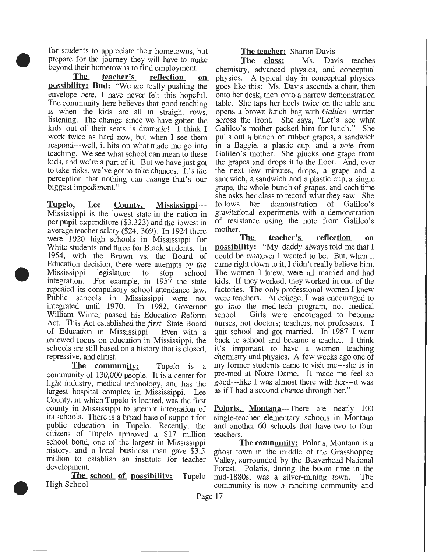for students to appreciate their hometowns, but prepare for the journey they will have to make beyond their hometowns to find employment.

• The teacher's reflection on possibility: Bud: "We are really pushing the envelope here, I have never felt this hopeful. The community here believes that good teaching is when the kids are all in straight rows, listening. The change since we have gotten the kids out of their seats is dramatic! I think I work twice as hard now, but when I see them respond---well, it hits on what made me go into teaching. We see what school can mean to these kids, and we're a part of it. But we have just got to take risks, we've got to take chances. It's the perception that nothing can change that's our biggest impediment."

> Tupelo, Lee County, Mississippi--- Mississippi is the lowest state in the nation in per pupil expenditure (\$3,323) and the lowest in average teacher salary (\$24, 369). In 1924 there were 1020 high schools in Mississippi for White students and three for Black students. In 1954, with the Brown vs. the Board of Education decision, there were attempts by the Mississippi legislature to stop school<br>integration. For example in 1957 the state For example, in  $1957$  the state repealed its compulsory school attendance law. Public schools in Mississippi were not integrated until 1970. In 1982, Governor integrated until 1970. William Winter passed his Education Reform Act. This Act established the *first* State Board of Education in Mississippi. Even with a renewed focus on education in Mississippi, the schools are still based on a history that is closed, repressive, and elitist.

•

•

The community: Tupelo is a community of 130,000 people. It is a center for light industry, medical technology, and has the largest hospital complex in Mississippi. Lee County, in which Tupelo is located, was the first county in Mississippi to attempt integration of its schools. There is a broad base of support for public education in Tupelo. Recently, the citizens of Tupelo approved a \$17 million school bond, one of the largest in Mississippi history, and a local business man gave \$3.5 million to establish an institute for teacher development.

The school of possibility: Tupelo High School

# The teacher: Sharon Davis

The class: Ms. Davis teaches chemistry, advanced physics, and conceptual physics. A typical day in conceptual physics goes like this: Ms. Davis ascends a chair, then onto her desk, then onto a narrow demonstration table. She taps her heels twice on the table and opens a brown lunch bag with *Galileo* written across the front. She says, "Let's see what Galileo's mother packed him for lunch." She pulls out a bunch of rubber grapes, a sandwich in a Baggie, a plastic cup, and a note from Galileo's mother. She plucks one grape from the grapes and drops it to the floor. And, over the next few minutes, drops, a grape and a sandwich, a sandwich and a plastic cup, a single grape, the whole bunch of grapes, and each time she asks her class to record what they saw. She follows her demonstration of Galileo's gravitational experiments with a demonstration of resistance using the note from Galileo's mother.

The teacher's reflection on possibility: "My daddy always told me that I could be whatever I wanted to be. But, when it came right down to it, I didn't really believe him. The women I knew, were all married and had kids. If they worked, they worked in one of the factories. The only professional women I knew were teachers. At college, I was encouraged to go into the med-tech program, not medical school. Girls were encouraged to become nurses, not doctors; teachers, not professors. I quit school and got married. In 1987 I went back to school and became a teacher. I think it's important to have a women teaching chemistry and physics. A few weeks ago one of my former students came to visit me---she is in pre-med at Notre Dame. It made me feel so good---like I was almost there with her---it was as if I had a second chance through her."

Polaris, Montana---There are nearly 100 single-teacher elementary schools in Montana and another 60 schools that have two to four teachers.

The community: Polaris, Montana is a ghost town in the middle of the Grasshopper Valley, surrounded by the Beaverhead National Forest. Polaris, during the boom time in the mid-1880s, was a silver-mining town. The community is now a ranching community and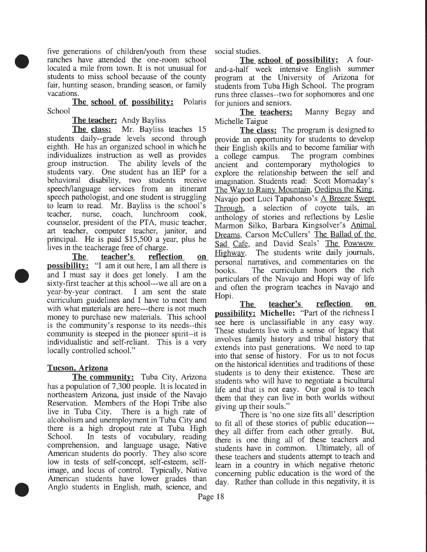five generations of children/youth from these ranches have attended the one-room school located a mile from town. It is not unusual for students to miss school because of the county fair, hunting season, branding season, or family vacations.

**The school of possibility:** Polaris School

**The teacher:** Andy Bayliss

•

•

•

**The** class: Mr. Bayliss teaches 15 students daily--grade levels second through eighth. He has an organized school in which he individualizes instruction as well as provides group instruction. The ability levels of the students vary. One student has an IEP for a behavioral disability, two students receive speech/language services from an itinerant speech pathologist, and one student is struggling to learn to read. Mr. Bayliss is the school's teacher, nurse, coach, lunchroom cook, counselor, president of the PTA, music teacher, art teacher, computer teacher, janitor, and principal. He is paid \$15,500 a year, plus he lives in the teacherage free of charge.

**The teacher's reflection on possibility:** "I am it out here, I am all there is and I must say it does get lonely. I am the sixty-first teacher at this school---we all are on a year-by-year contract. I am sent the state curriculum guidelines and I have to meet them with what materials are here---there is not much money to purchase new materials. This school is the community's response to its needs--this community is steeped in the pioneer spirit--it is individualistic and self-reliant. This is a very locally controlled school."

# **Tucson. Arizona**

**The community:** Tuba City, Arizona has a population of 7,300 people. It is located in northeastern Arizona, just inside of the Navajo Reservation. Members of the Hopi Tribe also live in Tuba City. There is a high rate of alcoholism and unemployment in Tuba City and there is a high dropout rate at Tuba High School. In tests of vocabulary, reading comprehension, and language usage, Native American students do poorly. They also score low in tests of self-concept, self-esteem, selfimage, and locus of control. Typically, Native American students have lower grades than Anglo students in English, math, science, and

social studies.

**The school of possibility:** A fourand-a-half week intensive English summer program at the University of Arizona for students from Tuba High School. The program runs three classes--two for sophomores and one for juniors and seniors.

**The teachers:** Manny Begay and Michelle Taigue

**The** class: The program is designed to provide an opportunity for students to develop their English skills and to become familiar with a college campus. The program combines ancient and contemporary mythologies to explore the relationship between the self and imagination. Students read: Scott Momaday's The Way to Rainy Mountain, Oedipus the King, Navajo poet Luci Tapahonso's A Breeze Swept Through, a selection of coyote tails, an anthology of stories and reflections by Leslie Marmon Silko, Barbara Kingsolver's Animal Dreams, Carson McCullers' The Ballad of the Sad Cafe, and David Seals' The Powwow Highway. The students write daily journals, personal narratives, and commentaries on the books. The curriculum honors the rich particulars of the Navajo and Hopi way of life and often the program teaches in Navajo and Hopi.

**The teacher's reflection on possibility:** Michelle: "Part of the richness I see here is unclassifiable in any easy way. These students live with a sense of legacy that involves family history and tribal history that extends into past generations. We need to tap into that sense of history. For us to not focus on the historical identities and traditions of these students is to deny their existence. These are students who will have to negotiate a bicultural life and that is not easy. Our goal is to teach them that they can live in both worlds without giving up their souls."

There is 'no one size fits all' description to fit all of these stories of public education-- they all differ from each other greatly. But, there is one thing all of these teachers and students have in common. Ultimately, all of these teachers and students attempt to teach and learn in a country in which negative rhetoric concerning public education is the word of the day. Rather than collude in this negativity, it is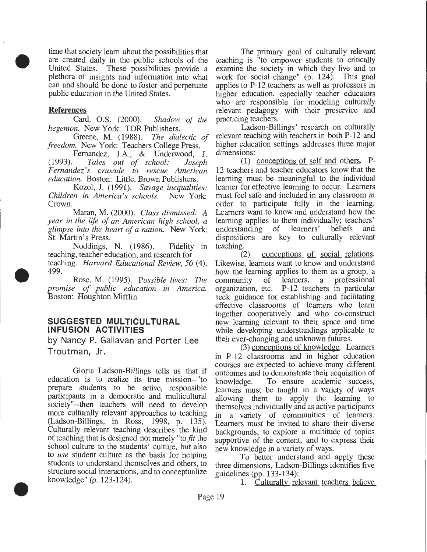time that society learn about the possibilities that are created daily in the public schools of the United States. These possibilities provide a plethora of insights and information into what can and should be done to foster and perpetuate public education in the United States.

### References

•

•

•

Card, O.S. (2000). *Shadow of the hegemon.* New York: TOR Publishers.

Greene, M. (1988). *The dialectic of freedom.* New York: Teachers College Press.

Fernandez, J.A., & Underwood, J.<br>(1993). Tales out of school: Joseph (1993). *Tales out of school: Joseph Fernandez's crusade to rescue American education.* Boston: Little, Brown Publishers.

Kozol, J. (1991). *Savage inequalities: Children in America's schools.* New York: Crown.

Maran, M. (2000). *Class dismissed: A year in the life of an American high school, a glimpse into the heart of a nation.* New York: St. Martin's Press.

Noddings, N. (1986). Fidelity in teaching, teacher education, and research for teaching. *Harvard Educational Review, 56* (4), 499.

Rose, M. (1995). *Possible lives: The promise of public education in America.*  Boston: Houghton Mifflin.

# **SUGGESTED MULTICULTURAL INFUSION ACTIVITIES**

by Nancy P. Gallavan and Porter Lee Troutman, Jr.

Gloria Ladson-Billings tells us that if education is to realize its true mission-- "to prepare students to be active, responsible participants in a democratic and multicultural society"--then teachers will need to develop more culturally relevant approaches to teaching (Ladson-Billings, in Ross, 1998, p. 135). Culturally relevant teaching describes the kind of teaching that is designed not merely "to *fit* the school culture to the students' culture, but also to *use* student culture as the basis for helping students to understand themselves and others, to structure social interactions, and to conceptualize knowledge" (p. 123-124).

The primary goal of culturally relevant teaching is "to empower students to critically examine the society in which they live and to work for social change" (p. 124). This goal applies to P-12 teachers as well as professors in higher education, especially teacher educators who are responsible for modeling culturally relevant pedagogy with their preservice and practicing teachers.

Ladson-Billings' research on culturally relevant teaching with teachers in both P-12 and higher education settings addresses three major dimensions:

(1) conceptions of self and others. P-12 teachers and teacher educators know that the learning must be meaningful to the individual learner for effective learning to occur. Learners must feel safe and included in any classroom in order to participate fully in the learning. Learners want to know and understand how the learning applies to them individually; teachers' understanding of learners' beliefs and dispositions are key to culturally relevant teaching.

(2) conceptions of social relations. Likewise, learners want to know and understand how the learning applies to them as a group, a community of learners, a professional organization, etc. P-12 teachers in particular seek guidance for establishing and facilitating effective classrooms of learners who learn together cooperatively and who co-construct new learning relevant to their space and time while developing understandings applicable to their ever-changing and unknown futures.

(3) conceptions of knowledge. Learners in P-12 classrooms and in higher education courses are expected to achieve many different outcomes and to demonstrate their acquisition of knowledge. To ensure academic success, learners must be taught in a variety of ways allowing them to apply the learning to themselves individually and as active participants in a variety of communities of learners. Learners must be invited to share their diverse backgrounds, to explore a multitude of topics supportive of the content, and to express their new knowledge in a variety of ways.

To better understand and apply these three dimensions, Ladson-Billings identifies five guidelines (pp. 133-134):

1. Culturally relevant teachers believe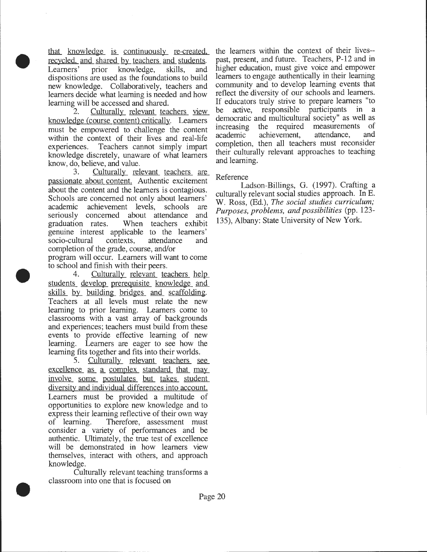that knowledge is continuously re-created, recycled, and shared by teachers and students. Learners' prior knowledge, skills, and dispositions are used as the foundations to build new knowledge. Collaboratively, teachers and learners decide what learning is needed and how

•

•

•

learning will be accessed and shared.<br>2. Culturally relevant tea Culturally relevant teachers view knowledge (course content) critically. Learners must be empowered to challenge the content within the context of their lives and real-life experiences. Teachers cannot simply impart knowledge discretely, unaware of what learners know, do, believe, and value.

Culturally relevant teachers are passionate about content. Authentic excitement about the content and the learners is contagious. Schools are concerned not only about learners' academic achievement levels, schools are seriously concerned about attendance and graduation rates. When teachers exhibit genuine interest applicable to the learners' socio-cultural contexts, attendance and completion of the grade, course, and/or

program will occur. Learners will want to come to school and finish with their peers .

4. Culturally relevant teachers help students develop prerequisite knowledge and skills by building bridges and scaffolding. Teachers at all levels must relate the new learning to prior learning. Learners come to classrooms with a vast array of backgrounds and experiences; teachers must build from these events to provide effective learning of new learning. Learners are eager to see how the learning fits together and fits into their worlds.

5. Culturally relevant teachers see excellence as a complex standard that may involve some postulates but takes student diversity and individual differences into account. Learners must be provided a multitude of opportunities to explore new knowledge and to express their learning reflective of their own way of learning. Therefore, assessment must consider a variety of performances and be authentic. Ultimately, the true test of excellence will be demonstrated in how learners view themselves, interact with others, and approach knowledge.

Culturally relevant teaching transforms a classroom into one that is focused on

the learners within the context of their lives- past, present, and future. Teachers, P-12 and in higher education, must give voice and empower learners to engage authentically in their learning community and to develop learning events that reflect the diversity of our schools and learners. If educators truly strive to prepare learners "to be active, responsible participants in a democratic and multicultural society" as well as increasing the required measurements of academic achievement, attendance, and completion, then all teachers must reconsider their culturally relevant approaches to teaching and learning.

### Reference

Ladson-Billings, G. (1997). Crafting a culturally relevant social studies approach. In E. W. Ross, (Ed.), *The social studies curriculum; Purposes, problems, and possibilities* (pp. 123- 135), Albany: State University of New York.